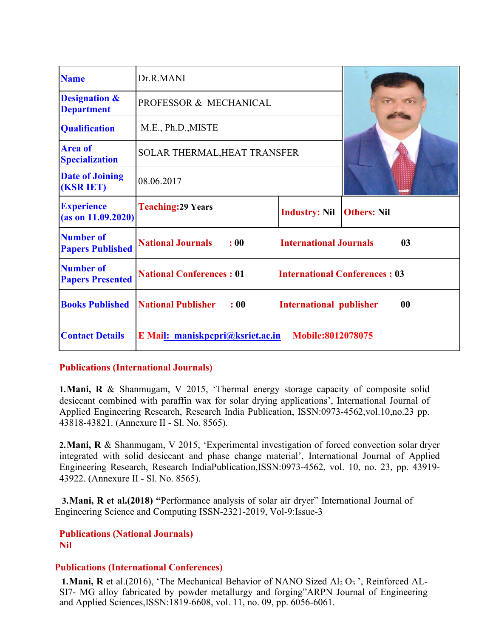| <b>Name</b>                                   | Dr.R.MANI                         |                                |                                      |
|-----------------------------------------------|-----------------------------------|--------------------------------|--------------------------------------|
| <b>Designation &amp;</b><br><b>Department</b> | PROFESSOR & MECHANICAL            |                                |                                      |
| <b>Qualification</b>                          | M.E., Ph.D., MISTE                |                                |                                      |
| <b>Area of</b><br><b>Specialization</b>       | SOLAR THERMAL, HEAT TRANSFER      |                                |                                      |
| <b>Date of Joining</b><br><b>(KSR IET)</b>    | 08.06.2017                        |                                |                                      |
| <b>Experience</b><br>(as on 11.09.2020)       | <b>Teaching: 29 Years</b>         | <b>Industry: Nil</b>           | <b>Others: Nil</b>                   |
| <b>Number of</b><br><b>Papers Published</b>   | <b>National Journals</b><br>: 00  | <b>International Journals</b>  | 0 <sub>3</sub>                       |
| <b>Number of</b><br><b>Papers Presented</b>   | <b>National Conferences: 01</b>   |                                | <b>International Conferences: 03</b> |
| <b>Books Published</b>                        | <b>National Publisher</b><br>: 00 | <b>International publisher</b> | 00                                   |
| <b>Contact Details</b>                        | E Mail: maniskpcpri@ksriet.ac.in  | <b>Mobile:8012078075</b>       |                                      |

#### **Publications (International Journals)**

**1.Mani, R** & Shanmugam, V 2015, 'Thermal energy storage capacity of composite solid desiccant combined with paraffin wax for solar drying applications', International Journal of Applied Engineering Research, Research India Publication, ISSN:0973-4562,vol.10,no.23 pp. 43818-43821. (Annexure II - Sl. No. 8565).

**2.Mani, R** & Shanmugam, V 2015, 'Experimental investigation of forced convection solar dryer integrated with solid desiccant and phase change material', International Journal of Applied Engineering Research, Research IndiaPublication,ISSN:0973-4562, vol. 10, no. 23, pp. 43919- 43922. (Annexure II - Sl. No. 8565).

**3.Mani, R et al.(2018) "**Performance analysis of solar air dryer" International Journal of Engineering Science and Computing ISSN-2321-2019, Vol-9:Issue-3

**Publications (National Journals) Nil** 

#### **Publications (International Conferences)**

**1. Mani, R** et al.(2016), 'The Mechanical Behavior of NANO Sized  $Al_2 O_3$ ', Reinforced AL-SI7- MG alloy fabricated by powder metallurgy and forging"ARPN Journal of Engineering and Applied Sciences,ISSN:1819-6608, vol. 11, no. 09, pp. 6056-6061.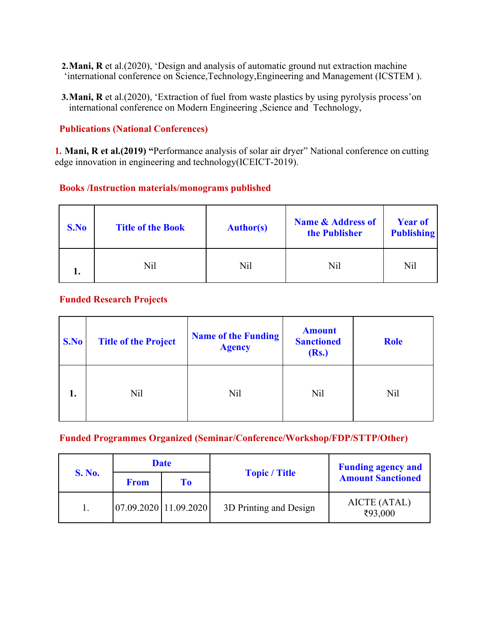- **2.Mani, R** et al.(2020), 'Design and analysis of automatic ground nut extraction machine 'international conference on Science,Technology,Engineering and Management (ICSTEM ).
- **3.Mani, R** et al.(2020), 'Extraction of fuel from waste plastics by using pyrolysis process'on international conference on Modern Engineering ,Science and Technology,

#### **Publications (National Conferences)**

**1. Mani, R et al.(2019) "**Performance analysis of solar air dryer" National conference on cutting edge innovation in engineering and technology(ICEICT-2019).

#### **Books /Instruction materials/monograms published**

| S.No | <b>Title of the Book</b> | <b>Author(s)</b> | <b>Name &amp; Address of</b><br>the Publisher | <b>Year of</b><br><b>Publishing</b> |
|------|--------------------------|------------------|-----------------------------------------------|-------------------------------------|
|      | Nil                      | Nil              | Nil                                           | Nil                                 |

#### **Funded Research Projects**

| S.No | <b>Title of the Project</b> | <b>Name of the Funding</b><br><b>Agency</b> | <b>Amount</b><br><b>Sanctioned</b><br>(Rs.) | <b>Role</b>     |
|------|-----------------------------|---------------------------------------------|---------------------------------------------|-----------------|
| 1.   | Nil                         | Nil                                         | Nil                                         | N <sub>il</sub> |

# **Funded Programmes Organized (Seminar/Conference/Workshop/FDP/STTP/Other)**

|               | <b>Date</b> |                       |                        | <b>Funding agency and</b> |
|---------------|-------------|-----------------------|------------------------|---------------------------|
| <b>S. No.</b> | <b>From</b> | Tо                    | <b>Topic</b> / Title   | <b>Amount Sanctioned</b>  |
|               |             | 07.09.2020 11.09.2020 | 3D Printing and Design | AICTE (ATAL)<br>₹93,000   |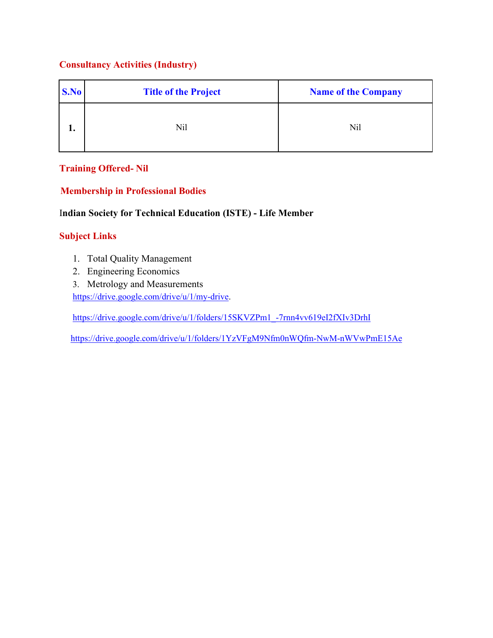# **Consultancy Activities (Industry)**

| S.No | <b>Title of the Project</b> | <b>Name of the Company</b> |
|------|-----------------------------|----------------------------|
| ı.   | Nil                         | Nil                        |

# **Training Offered- Nil**

# **Membership in Professional Bodies**

# I**ndian Society for Technical Education (ISTE) - Life Member**

# **Subject Links**

- 1. Total Quality Management
- 2. Engineering Economics
- 3. Metrology and Measurements

https://drive.google.com/drive/u/1/my-drive.

https://drive.google.com/drive/u/1/folders/15SKVZPm1\_-7rnn4vv619eI2fXIv3DrhI

https://drive.google.com/drive/u/1/folders/1YzVFgM9Nfm0nWQfm-NwM-nWVwPmE15Ae